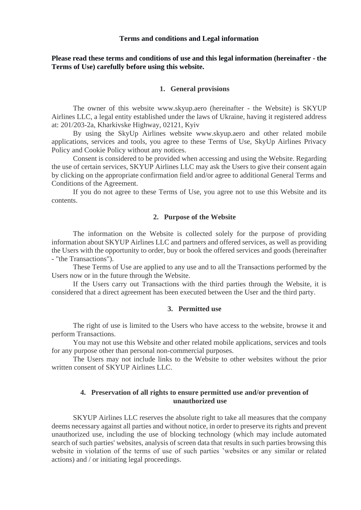## **Terms and conditions and Legal information**

# **Please read these terms and conditions of use and this legal information (hereinafter - the Terms of Use) carefully before using this website.**

## **1. General provisions**

The owner of this website www.skyup.aero (hereinafter - the Website) is SKYUP Airlines LLC, a legal entity established under the laws of Ukraine, having it registered address at: 201/203-2a, Kharkivske Highway, 02121, Kyiv

By using the SkyUp Airlines website www.skyup.aero and other related mobile applications, services and tools, you agree to these Terms of Use, SkyUp Airlines Privacy Policy and Cookie Policy without any notices.

Consent is considered to be provided when accessing and using the Website. Regarding the use of certain services, SKYUP Airlines LLC may ask the Users to give their consent again by clicking on the appropriate confirmation field and/or agree to additional General Terms and Conditions of the Agreement.

If you do not agree to these Terms of Use, you agree not to use this Website and its contents.

## **2. Purpose of the Website**

The information on the Website is collected solely for the purpose of providing information about SKYUP Airlines LLC and partners and offered services, as well as providing the Users with the opportunity to order, buy or book the offered services and goods (hereinafter - "the Transactions").

These Terms of Use are applied to any use and to all the Transactions performed by the Users now or in the future through the Website.

If the Users carry out Transactions with the third parties through the Website, it is considered that a direct agreement has been executed between the User and the third party.

## **3. Permitted use**

The right of use is limited to the Users who have access to the website, browse it and perform Transactions.

You may not use this Website and other related mobile applications, services and tools for any purpose other than personal non-commercial purposes.

The Users may not include links to the Website to other websites without the prior written consent of SKYUP Airlines LLC.

## **4. Preservation of all rights to ensure permitted use and/or prevention of unauthorized use**

SKYUP Airlines LLC reserves the absolute right to take all measures that the company deems necessary against all parties and without notice, in order to preserve its rights and prevent unauthorized use, including the use of blocking technology (which may include automated search of such parties' websites, analysis of screen data that results in such parties browsing this website in violation of the terms of use of such parties 'websites or any similar or related actions) and / or initiating legal proceedings.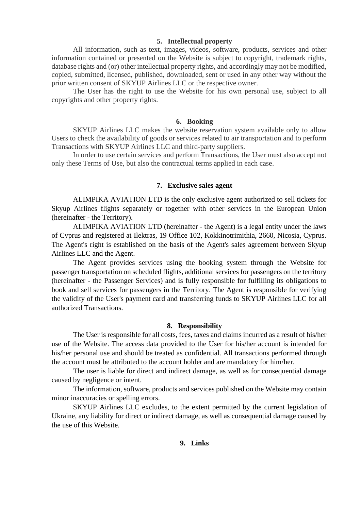### **5. Intellectual property**

All information, such as text, images, videos, software, products, services and other information contained or presented on the Website is subject to copyright, trademark rights, database rights and (or) other intellectual property rights, and accordingly may not be modified, copied, submitted, licensed, published, downloaded, sent or used in any other way without the prior written consent of SKYUP Airlines LLC or the respective owner.

The User has the right to use the Website for his own personal use, subject to all copyrights and other property rights.

#### **6. Booking**

SKYUP Airlines LLC makes the website reservation system available only to allow Users to check the availability of goods or services related to air transportation and to perform Transactions with SKYUP Airlines LLC and third-party suppliers.

In order to use certain services and perform Transactions, the User must also accept not only these Terms of Use, but also the contractual terms applied in each case.

### **7. Exclusive sales agent**

ALIMPIKA AVIATION LTD is the only exclusive agent authorized to sell tickets for Skyup Airlines flights separately or together with other services in the European Union (hereinafter - the Territory).

ALIMPIKA AVIATION LTD (hereinafter - the Agent) is a legal entity under the laws of Cyprus and registered at Ilektras, 19 Office 102, Kokkinotrimithia, 2660, Nicosia, Cyprus. The Agent's right is established on the basis of the Agent's sales agreement between Skyup Airlines LLC and the Agent.

The Agent provides services using the booking system through the Website for passenger transportation on scheduled flights, additional services for passengers on the territory (hereinafter - the Passenger Services) and is fully responsible for fulfilling its obligations to book and sell services for passengers in the Territory. The Agent is responsible for verifying the validity of the User's payment card and transferring funds to SKYUP Airlines LLC for all authorized Transactions.

#### **8. Responsibility**

The User is responsible for all costs, fees, taxes and claims incurred as a result of his/her use of the Website. The access data provided to the User for his/her account is intended for his/her personal use and should be treated as confidential. All transactions performed through the account must be attributed to the account holder and are mandatory for him/her.

The user is liable for direct and indirect damage, as well as for consequential damage caused by negligence or intent.

The information, software, products and services published on the Website may contain minor inaccuracies or spelling errors.

SKYUP Airlines LLC excludes, to the extent permitted by the current legislation of Ukraine, any liability for direct or indirect damage, as well as consequential damage caused by the use of this Website.

## **9. Links**